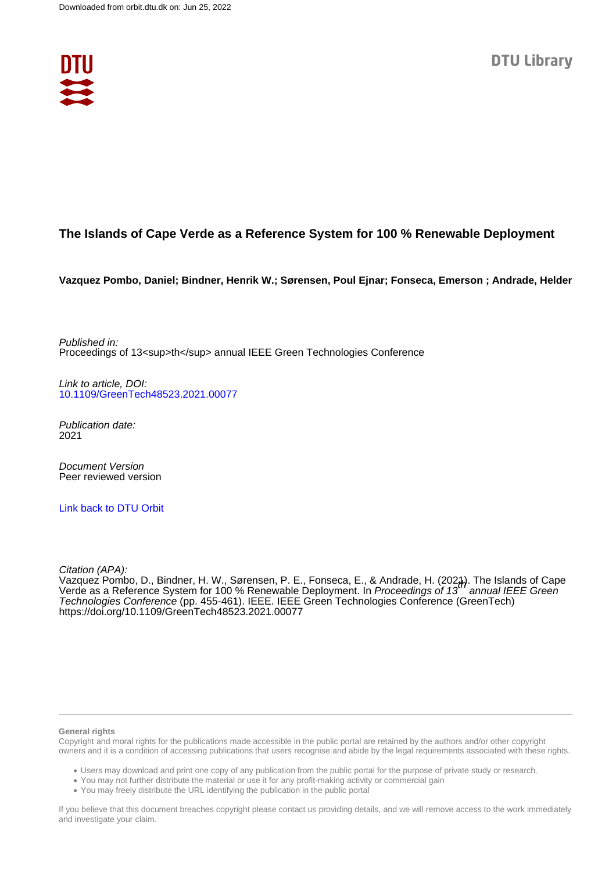

# **The Islands of Cape Verde as a Reference System for 100 % Renewable Deployment**

**Vazquez Pombo, Daniel; Bindner, Henrik W.; Sørensen, Poul Ejnar; Fonseca, Emerson ; Andrade, Helder**

Published in: Proceedings of 13<sup>th</sup> annual IEEE Green Technologies Conference

Link to article, DOI: [10.1109/GreenTech48523.2021.00077](https://doi.org/10.1109/GreenTech48523.2021.00077)

Publication date: 2021

Document Version Peer reviewed version

[Link back to DTU Orbit](https://orbit.dtu.dk/en/publications/283d1872-ec88-4b0c-87ca-b8469ea21f5b)

Citation (APA):

Vazquez Pombo, D., Bindner, H. W., Sørensen, P. E., Fonseca, E., & Andrade, H. (2021). The Islands of Cape<br>Verde as a Reference System for 100 % Renewable Deployment. In *Proceedings of 13th annual IEEE Green* Technologies Conference (pp. 455-461). IEEE. IEEE Green Technologies Conference (GreenTech) <https://doi.org/10.1109/GreenTech48523.2021.00077>

#### **General rights**

Copyright and moral rights for the publications made accessible in the public portal are retained by the authors and/or other copyright owners and it is a condition of accessing publications that users recognise and abide by the legal requirements associated with these rights.

Users may download and print one copy of any publication from the public portal for the purpose of private study or research.

- You may not further distribute the material or use it for any profit-making activity or commercial gain
- You may freely distribute the URL identifying the publication in the public portal

If you believe that this document breaches copyright please contact us providing details, and we will remove access to the work immediately and investigate your claim.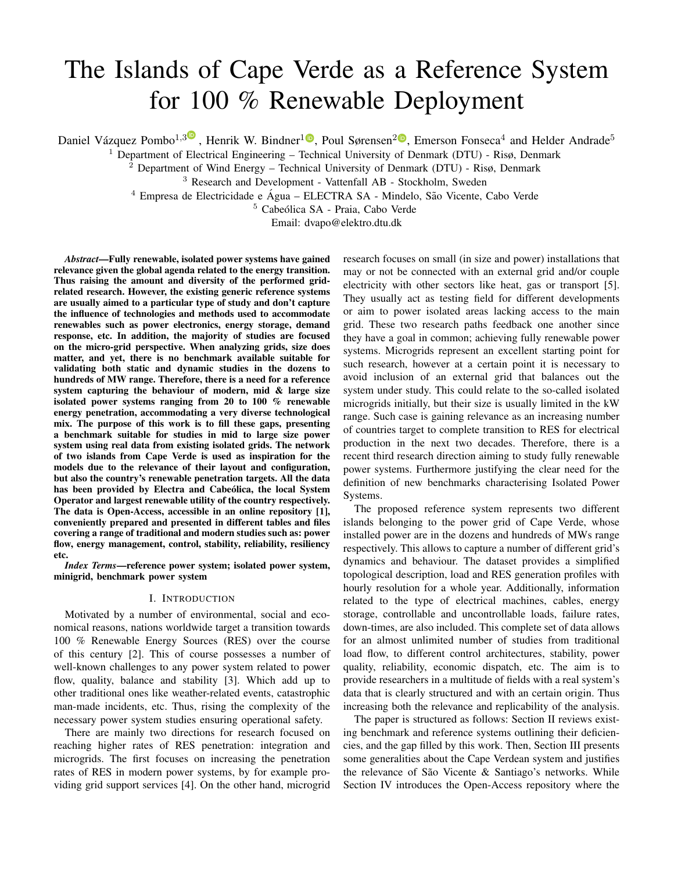# The Islands of Cape Verde as a Reference System for 100 % Renewable Deployment

Daniel Vázquez Pombo<sup>1,[3](https://orcid.org/0000-0001-5664-9421)</sup>, Henrik W. Bindner<sup>[1](https://orcid.org/0000-0003-1545-6994)</sup><sup>®</sup>, Poul Sørensen<sup>[2](https://orcid.org/0000-0001-5612-6284)®</sup>, Emerson Fonseca<sup>4</sup> and Helder Andrade<sup>5</sup>

<sup>1</sup> Department of Electrical Engineering – Technical University of Denmark (DTU) - Risø, Denmark

<sup>2</sup> Department of Wind Energy – Technical University of Denmark (DTU) - Risø, Denmark

<sup>3</sup> Research and Development - Vattenfall AB - Stockholm, Sweden

 $4$  Empresa de Electricidade e Água – ELECTRA SA - Mindelo, São Vicente, Cabo Verde

<sup>5</sup> Cabeólica SA - Praia, Cabo Verde

Email: dvapo@elektro.dtu.dk

*Abstract*—Fully renewable, isolated power systems have gained relevance given the global agenda related to the energy transition. Thus raising the amount and diversity of the performed gridrelated research. However, the existing generic reference systems are usually aimed to a particular type of study and don't capture the influence of technologies and methods used to accommodate renewables such as power electronics, energy storage, demand response, etc. In addition, the majority of studies are focused on the micro-grid perspective. When analyzing grids, size does matter, and yet, there is no benchmark available suitable for validating both static and dynamic studies in the dozens to hundreds of MW range. Therefore, there is a need for a reference system capturing the behaviour of modern, mid & large size isolated power systems ranging from 20 to 100 % renewable energy penetration, accommodating a very diverse technological mix. The purpose of this work is to fill these gaps, presenting a benchmark suitable for studies in mid to large size power system using real data from existing isolated grids. The network of two islands from Cape Verde is used as inspiration for the models due to the relevance of their layout and configuration, but also the country's renewable penetration targets. All the data has been provided by Electra and Cabeólica, the local System Operator and largest renewable utility of the country respectively. The data is Open-Access, accessible in an online repository [\[1\]](#page-6-0), conveniently prepared and presented in different tables and files covering a range of traditional and modern studies such as: power flow, energy management, control, stability, reliability, resiliency etc.

*Index Terms*—reference power system; isolated power system, minigrid, benchmark power system

#### I. INTRODUCTION

Motivated by a number of environmental, social and economical reasons, nations worldwide target a transition towards 100 % Renewable Energy Sources (RES) over the course of this century [\[2\]](#page-6-1). This of course possesses a number of well-known challenges to any power system related to power flow, quality, balance and stability [\[3\]](#page-6-2). Which add up to other traditional ones like weather-related events, catastrophic man-made incidents, etc. Thus, rising the complexity of the necessary power system studies ensuring operational safety.

There are mainly two directions for research focused on reaching higher rates of RES penetration: integration and microgrids. The first focuses on increasing the penetration rates of RES in modern power systems, by for example providing grid support services [\[4\]](#page-7-0). On the other hand, microgrid research focuses on small (in size and power) installations that may or not be connected with an external grid and/or couple electricity with other sectors like heat, gas or transport [\[5\]](#page-7-1). They usually act as testing field for different developments or aim to power isolated areas lacking access to the main grid. These two research paths feedback one another since they have a goal in common; achieving fully renewable power systems. Microgrids represent an excellent starting point for such research, however at a certain point it is necessary to avoid inclusion of an external grid that balances out the system under study. This could relate to the so-called isolated microgrids initially, but their size is usually limited in the kW range. Such case is gaining relevance as an increasing number of countries target to complete transition to RES for electrical production in the next two decades. Therefore, there is a recent third research direction aiming to study fully renewable power systems. Furthermore justifying the clear need for the definition of new benchmarks characterising Isolated Power Systems.

The proposed reference system represents two different islands belonging to the power grid of Cape Verde, whose installed power are in the dozens and hundreds of MWs range respectively. This allows to capture a number of different grid's dynamics and behaviour. The dataset provides a simplified topological description, load and RES generation profiles with hourly resolution for a whole year. Additionally, information related to the type of electrical machines, cables, energy storage, controllable and uncontrollable loads, failure rates, down-times, are also included. This complete set of data allows for an almost unlimited number of studies from traditional load flow, to different control architectures, stability, power quality, reliability, economic dispatch, etc. The aim is to provide researchers in a multitude of fields with a real system's data that is clearly structured and with an certain origin. Thus increasing both the relevance and replicability of the analysis.

The paper is structured as follows: Section [II](#page-2-0) reviews existing benchmark and reference systems outlining their deficiencies, and the gap filled by this work. Then, Section [III](#page-2-1) presents some generalities about the Cape Verdean system and justifies the relevance of São Vicente  $\&$  Santiago's networks. While Section [IV](#page-3-0) introduces the Open-Access repository where the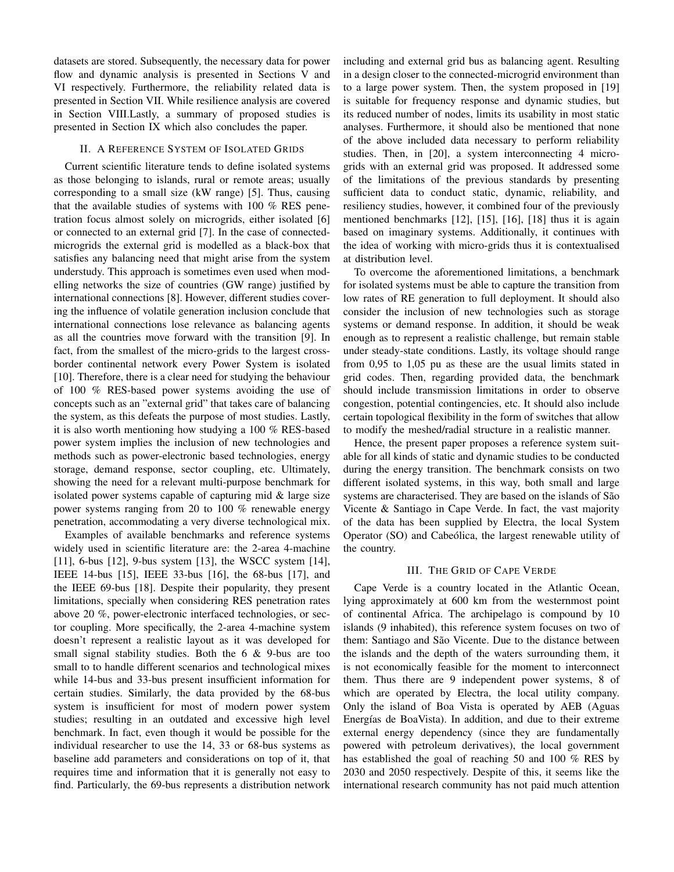datasets are stored. Subsequently, the necessary data for power flow and dynamic analysis is presented in Sections [V](#page-3-1) and [VI](#page-5-0) respectively. Furthermore, the reliability related data is presented in Section [VII.](#page-5-1) While resilience analysis are covered in Section [VIII.](#page-6-3)Lastly, a summary of proposed studies is presented in Section [IX](#page-6-4) which also concludes the paper.

# II. A REFERENCE SYSTEM OF ISOLATED GRIDS

<span id="page-2-0"></span>Current scientific literature tends to define isolated systems as those belonging to islands, rural or remote areas; usually corresponding to a small size (kW range) [\[5\]](#page-7-1). Thus, causing that the available studies of systems with 100 % RES penetration focus almost solely on microgrids, either isolated [\[6\]](#page-7-2) or connected to an external grid [\[7\]](#page-7-3). In the case of connectedmicrogrids the external grid is modelled as a black-box that satisfies any balancing need that might arise from the system understudy. This approach is sometimes even used when modelling networks the size of countries (GW range) justified by international connections [\[8\]](#page-7-4). However, different studies covering the influence of volatile generation inclusion conclude that international connections lose relevance as balancing agents as all the countries move forward with the transition [\[9\]](#page-7-5). In fact, from the smallest of the micro-grids to the largest crossborder continental network every Power System is isolated [\[10\]](#page-7-6). Therefore, there is a clear need for studying the behaviour of 100 % RES-based power systems avoiding the use of concepts such as an "external grid" that takes care of balancing the system, as this defeats the purpose of most studies. Lastly, it is also worth mentioning how studying a 100 % RES-based power system implies the inclusion of new technologies and methods such as power-electronic based technologies, energy storage, demand response, sector coupling, etc. Ultimately, showing the need for a relevant multi-purpose benchmark for isolated power systems capable of capturing mid & large size power systems ranging from 20 to 100 % renewable energy penetration, accommodating a very diverse technological mix.

Examples of available benchmarks and reference systems widely used in scientific literature are: the 2-area 4-machine [\[11\]](#page-7-7), 6-bus [\[12\]](#page-7-8), 9-bus system [\[13\]](#page-7-9), the WSCC system [\[14\]](#page-7-10), IEEE 14-bus [\[15\]](#page-7-11), IEEE 33-bus [\[16\]](#page-7-12), the 68-bus [\[17\]](#page-7-13), and the IEEE 69-bus [\[18\]](#page-7-14). Despite their popularity, they present limitations, specially when considering RES penetration rates above 20 %, power-electronic interfaced technologies, or sector coupling. More specifically, the 2-area 4-machine system doesn't represent a realistic layout as it was developed for small signal stability studies. Both the 6 & 9-bus are too small to to handle different scenarios and technological mixes while 14-bus and 33-bus present insufficient information for certain studies. Similarly, the data provided by the 68-bus system is insufficient for most of modern power system studies; resulting in an outdated and excessive high level benchmark. In fact, even though it would be possible for the individual researcher to use the 14, 33 or 68-bus systems as baseline add parameters and considerations on top of it, that requires time and information that it is generally not easy to find. Particularly, the 69-bus represents a distribution network

including and external grid bus as balancing agent. Resulting in a design closer to the connected-microgrid environment than to a large power system. Then, the system proposed in [\[19\]](#page-7-15) is suitable for frequency response and dynamic studies, but its reduced number of nodes, limits its usability in most static analyses. Furthermore, it should also be mentioned that none of the above included data necessary to perform reliability studies. Then, in [\[20\]](#page-7-16), a system interconnecting 4 microgrids with an external grid was proposed. It addressed some of the limitations of the previous standards by presenting sufficient data to conduct static, dynamic, reliability, and resiliency studies, however, it combined four of the previously mentioned benchmarks [\[12\]](#page-7-8), [\[15\]](#page-7-11), [\[16\]](#page-7-12), [\[18\]](#page-7-14) thus it is again based on imaginary systems. Additionally, it continues with the idea of working with micro-grids thus it is contextualised at distribution level.

To overcome the aforementioned limitations, a benchmark for isolated systems must be able to capture the transition from low rates of RE generation to full deployment. It should also consider the inclusion of new technologies such as storage systems or demand response. In addition, it should be weak enough as to represent a realistic challenge, but remain stable under steady-state conditions. Lastly, its voltage should range from 0,95 to 1,05 pu as these are the usual limits stated in grid codes. Then, regarding provided data, the benchmark should include transmission limitations in order to observe congestion, potential contingencies, etc. It should also include certain topological flexibility in the form of switches that allow to modify the meshed/radial structure in a realistic manner.

Hence, the present paper proposes a reference system suitable for all kinds of static and dynamic studies to be conducted during the energy transition. The benchmark consists on two different isolated systems, in this way, both small and large systems are characterised. They are based on the islands of São Vicente & Santiago in Cape Verde. In fact, the vast majority of the data has been supplied by Electra, the local System Operator (SO) and Cabeólica, the largest renewable utility of the country.

# III. THE GRID OF CAPE VERDE

<span id="page-2-1"></span>Cape Verde is a country located in the Atlantic Ocean, lying approximately at 600 km from the westernmost point of continental Africa. The archipelago is compound by 10 islands (9 inhabited), this reference system focuses on two of them: Santiago and São Vicente. Due to the distance between the islands and the depth of the waters surrounding them, it is not economically feasible for the moment to interconnect them. Thus there are 9 independent power systems, 8 of which are operated by Electra, the local utility company. Only the island of Boa Vista is operated by AEB (Aguas Energías de BoaVista). In addition, and due to their extreme external energy dependency (since they are fundamentally powered with petroleum derivatives), the local government has established the goal of reaching 50 and 100 % RES by 2030 and 2050 respectively. Despite of this, it seems like the international research community has not paid much attention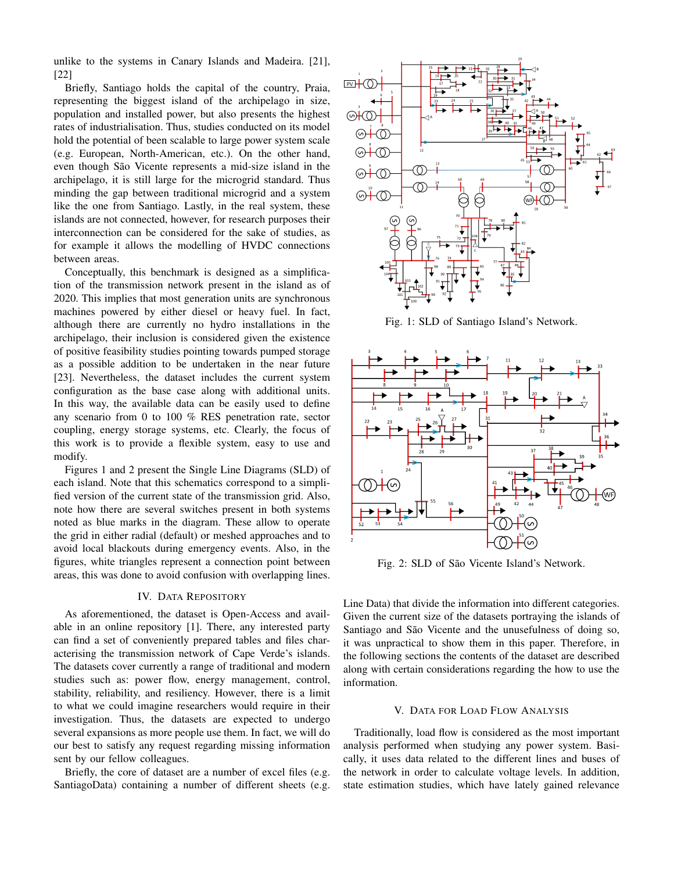unlike to the systems in Canary Islands and Madeira. [\[21\]](#page-7-17), [\[22\]](#page-7-18)

Briefly, Santiago holds the capital of the country, Praia, representing the biggest island of the archipelago in size, population and installed power, but also presents the highest rates of industrialisation. Thus, studies conducted on its model hold the potential of been scalable to large power system scale (e.g. European, North-American, etc.). On the other hand, even though São Vicente represents a mid-size island in the archipelago, it is still large for the microgrid standard. Thus minding the gap between traditional microgrid and a system like the one from Santiago. Lastly, in the real system, these islands are not connected, however, for research purposes their interconnection can be considered for the sake of studies, as for example it allows the modelling of HVDC connections between areas.

Conceptually, this benchmark is designed as a simplification of the transmission network present in the island as of 2020. This implies that most generation units are synchronous machines powered by either diesel or heavy fuel. In fact, although there are currently no hydro installations in the archipelago, their inclusion is considered given the existence of positive feasibility studies pointing towards pumped storage as a possible addition to be undertaken in the near future [\[23\]](#page-7-19). Nevertheless, the dataset includes the current system configuration as the base case along with additional units. In this way, the available data can be easily used to define any scenario from 0 to 100 % RES penetration rate, sector coupling, energy storage systems, etc. Clearly, the focus of this work is to provide a flexible system, easy to use and modify.

Figures [1](#page-3-2) and [2](#page-3-3) present the Single Line Diagrams (SLD) of each island. Note that this schematics correspond to a simplified version of the current state of the transmission grid. Also, note how there are several switches present in both systems noted as blue marks in the diagram. These allow to operate the grid in either radial (default) or meshed approaches and to avoid local blackouts during emergency events. Also, in the figures, white triangles represent a connection point between areas, this was done to avoid confusion with overlapping lines.

#### IV. DATA REPOSITORY

<span id="page-3-0"></span>As aforementioned, the dataset is Open-Access and available in an online repository [\[1\]](#page-6-0). There, any interested party can find a set of conveniently prepared tables and files characterising the transmission network of Cape Verde's islands. The datasets cover currently a range of traditional and modern studies such as: power flow, energy management, control, stability, reliability, and resiliency. However, there is a limit to what we could imagine researchers would require in their investigation. Thus, the datasets are expected to undergo several expansions as more people use them. In fact, we will do our best to satisfy any request regarding missing information sent by our fellow colleagues.

Briefly, the core of dataset are a number of excel files (e.g. SantiagoData) containing a number of different sheets (e.g.

<span id="page-3-2"></span>

Fig. 1: SLD of Santiago Island's Network.

<span id="page-3-3"></span>

Fig. 2: SLD of São Vicente Island's Network.

Line Data) that divide the information into different categories. Given the current size of the datasets portraying the islands of Santiago and São Vicente and the unusefulness of doing so, it was unpractical to show them in this paper. Therefore, in the following sections the contents of the dataset are described along with certain considerations regarding the how to use the information.

#### V. DATA FOR LOAD FLOW ANALYSIS

<span id="page-3-1"></span>Traditionally, load flow is considered as the most important analysis performed when studying any power system. Basically, it uses data related to the different lines and buses of the network in order to calculate voltage levels. In addition, state estimation studies, which have lately gained relevance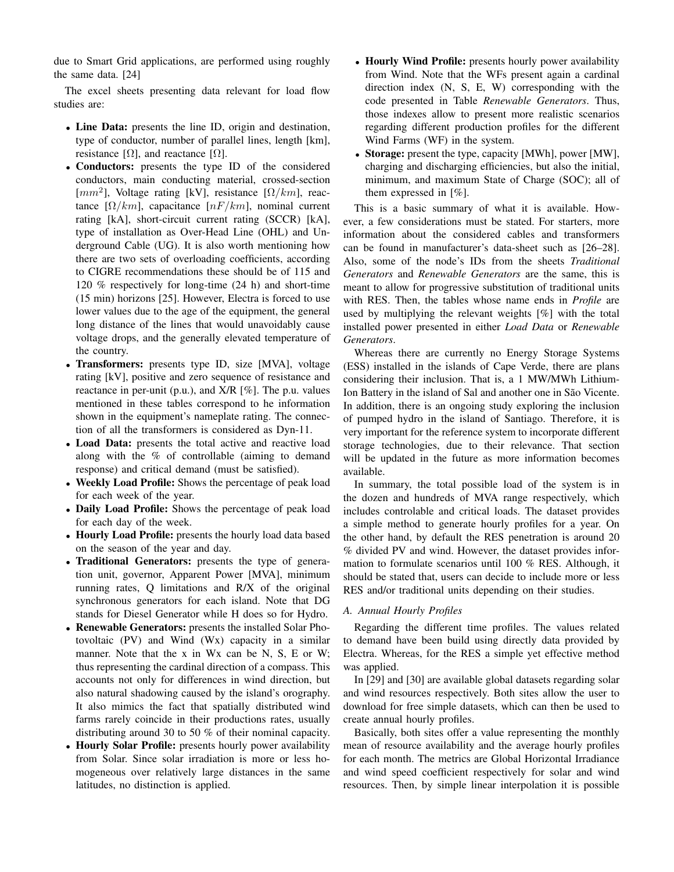due to Smart Grid applications, are performed using roughly the same data. [\[24\]](#page-7-20)

The excel sheets presenting data relevant for load flow studies are:

- Line Data: presents the line ID, origin and destination, type of conductor, number of parallel lines, length [km], resistance  $[\Omega]$ , and reactance  $[\Omega]$ .
- Conductors: presents the type ID of the considered conductors, main conducting material, crossed-section [ $mm<sup>2</sup>$ ], Voltage rating [kV], resistance [ $\Omega/km$ ], reactance  $[\Omega/km]$ , capacitance  $[nF/km]$ , nominal current rating [kA], short-circuit current rating (SCCR) [kA], type of installation as Over-Head Line (OHL) and Underground Cable (UG). It is also worth mentioning how there are two sets of overloading coefficients, according to CIGRE recommendations these should be of 115 and 120 % respectively for long-time (24 h) and short-time (15 min) horizons [\[25\]](#page-7-21). However, Electra is forced to use lower values due to the age of the equipment, the general long distance of the lines that would unavoidably cause voltage drops, and the generally elevated temperature of the country.
- Transformers: presents type ID, size [MVA], voltage rating [kV], positive and zero sequence of resistance and reactance in per-unit (p.u.), and X/R [%]. The p.u. values mentioned in these tables correspond to he information shown in the equipment's nameplate rating. The connection of all the transformers is considered as Dyn-11.
- Load Data: presents the total active and reactive load along with the % of controllable (aiming to demand response) and critical demand (must be satisfied).
- Weekly Load Profile: Shows the percentage of peak load for each week of the year.
- Daily Load Profile: Shows the percentage of peak load for each day of the week.
- Hourly Load Profile: presents the hourly load data based on the season of the year and day.
- Traditional Generators: presents the type of generation unit, governor, Apparent Power [MVA], minimum running rates, Q limitations and R/X of the original synchronous generators for each island. Note that DG stands for Diesel Generator while H does so for Hydro.
- Renewable Generators: presents the installed Solar Photovoltaic (PV) and Wind (Wx) capacity in a similar manner. Note that the x in Wx can be N, S, E or W; thus representing the cardinal direction of a compass. This accounts not only for differences in wind direction, but also natural shadowing caused by the island's orography. It also mimics the fact that spatially distributed wind farms rarely coincide in their productions rates, usually distributing around 30 to 50 % of their nominal capacity.
- Hourly Solar Profile: presents hourly power availability from Solar. Since solar irradiation is more or less homogeneous over relatively large distances in the same latitudes, no distinction is applied.
- Hourly Wind Profile: presents hourly power availability from Wind. Note that the WFs present again a cardinal direction index (N, S, E, W) corresponding with the code presented in Table *Renewable Generators*. Thus, those indexes allow to present more realistic scenarios regarding different production profiles for the different Wind Farms (WF) in the system.
- Storage: present the type, capacity [MWh], power [MW], charging and discharging efficiencies, but also the initial, minimum, and maximum State of Charge (SOC); all of them expressed in [%].

This is a basic summary of what it is available. However, a few considerations must be stated. For starters, more information about the considered cables and transformers can be found in manufacturer's data-sheet such as [\[26](#page-7-22)[–28\]](#page-7-23). Also, some of the node's IDs from the sheets *Traditional Generators* and *Renewable Generators* are the same, this is meant to allow for progressive substitution of traditional units with RES. Then, the tables whose name ends in *Profile* are used by multiplying the relevant weights [%] with the total installed power presented in either *Load Data* or *Renewable Generators*.

Whereas there are currently no Energy Storage Systems (ESS) installed in the islands of Cape Verde, there are plans considering their inclusion. That is, a 1 MW/MWh Lithium-Ion Battery in the island of Sal and another one in São Vicente. In addition, there is an ongoing study exploring the inclusion of pumped hydro in the island of Santiago. Therefore, it is very important for the reference system to incorporate different storage technologies, due to their relevance. That section will be updated in the future as more information becomes available.

In summary, the total possible load of the system is in the dozen and hundreds of MVA range respectively, which includes controlable and critical loads. The dataset provides a simple method to generate hourly profiles for a year. On the other hand, by default the RES penetration is around 20 % divided PV and wind. However, the dataset provides information to formulate scenarios until 100 % RES. Although, it should be stated that, users can decide to include more or less RES and/or traditional units depending on their studies.

# *A. Annual Hourly Profiles*

Regarding the different time profiles. The values related to demand have been build using directly data provided by Electra. Whereas, for the RES a simple yet effective method was applied.

In [\[29\]](#page-7-24) and [\[30\]](#page-7-25) are available global datasets regarding solar and wind resources respectively. Both sites allow the user to download for free simple datasets, which can then be used to create annual hourly profiles.

Basically, both sites offer a value representing the monthly mean of resource availability and the average hourly profiles for each month. The metrics are Global Horizontal Irradiance and wind speed coefficient respectively for solar and wind resources. Then, by simple linear interpolation it is possible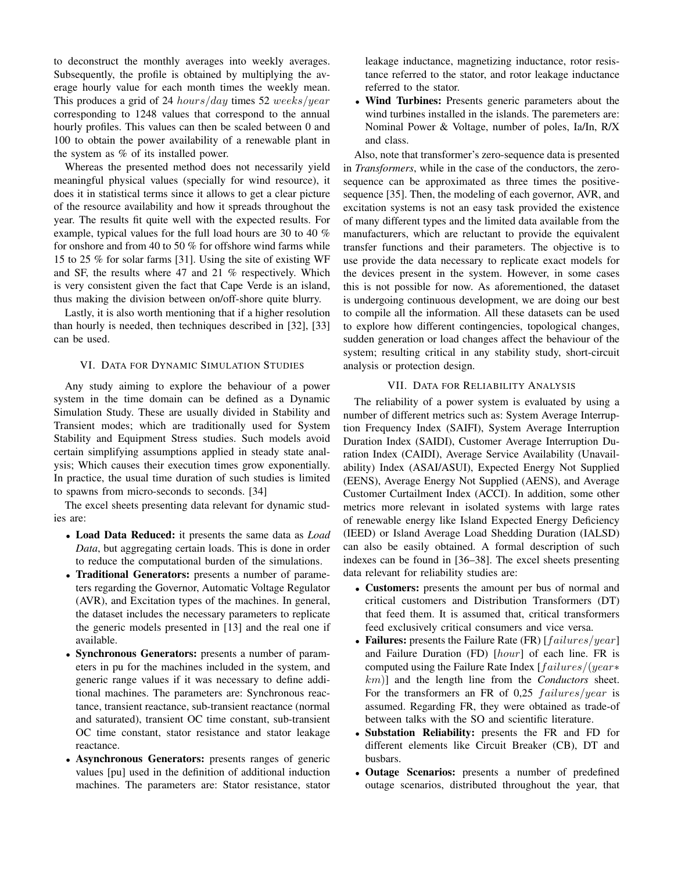to deconstruct the monthly averages into weekly averages. Subsequently, the profile is obtained by multiplying the average hourly value for each month times the weekly mean. This produces a grid of 24 hours/day times 52 weeks/year corresponding to 1248 values that correspond to the annual hourly profiles. This values can then be scaled between 0 and 100 to obtain the power availability of a renewable plant in the system as % of its installed power.

Whereas the presented method does not necessarily yield meaningful physical values (specially for wind resource), it does it in statistical terms since it allows to get a clear picture of the resource availability and how it spreads throughout the year. The results fit quite well with the expected results. For example, typical values for the full load hours are 30 to 40 % for onshore and from 40 to 50 % for offshore wind farms while 15 to 25 % for solar farms [\[31\]](#page-7-26). Using the site of existing WF and SF, the results where 47 and 21 % respectively. Which is very consistent given the fact that Cape Verde is an island, thus making the division between on/off-shore quite blurry.

Lastly, it is also worth mentioning that if a higher resolution than hourly is needed, then techniques described in [\[32\]](#page-7-27), [\[33\]](#page-7-28) can be used.

# VI. DATA FOR DYNAMIC SIMULATION STUDIES

<span id="page-5-0"></span>Any study aiming to explore the behaviour of a power system in the time domain can be defined as a Dynamic Simulation Study. These are usually divided in Stability and Transient modes; which are traditionally used for System Stability and Equipment Stress studies. Such models avoid certain simplifying assumptions applied in steady state analysis; Which causes their execution times grow exponentially. In practice, the usual time duration of such studies is limited to spawns from micro-seconds to seconds. [\[34\]](#page-7-29)

The excel sheets presenting data relevant for dynamic studies are:

- Load Data Reduced: it presents the same data as *Load Data*, but aggregating certain loads. This is done in order to reduce the computational burden of the simulations.
- Traditional Generators: presents a number of parameters regarding the Governor, Automatic Voltage Regulator (AVR), and Excitation types of the machines. In general, the dataset includes the necessary parameters to replicate the generic models presented in [\[13\]](#page-7-9) and the real one if available.
- Synchronous Generators: presents a number of parameters in pu for the machines included in the system, and generic range values if it was necessary to define additional machines. The parameters are: Synchronous reactance, transient reactance, sub-transient reactance (normal and saturated), transient OC time constant, sub-transient OC time constant, stator resistance and stator leakage reactance.
- Asynchronous Generators: presents ranges of generic values [pu] used in the definition of additional induction machines. The parameters are: Stator resistance, stator

leakage inductance, magnetizing inductance, rotor resistance referred to the stator, and rotor leakage inductance referred to the stator.

• Wind Turbines: Presents generic parameters about the wind turbines installed in the islands. The paremeters are: Nominal Power & Voltage, number of poles, Ia/In, R/X and class.

Also, note that transformer's zero-sequence data is presented in *Transformers*, while in the case of the conductors, the zerosequence can be approximated as three times the positivesequence [\[35\]](#page-7-30). Then, the modeling of each governor, AVR, and excitation systems is not an easy task provided the existence of many different types and the limited data available from the manufacturers, which are reluctant to provide the equivalent transfer functions and their parameters. The objective is to use provide the data necessary to replicate exact models for the devices present in the system. However, in some cases this is not possible for now. As aforementioned, the dataset is undergoing continuous development, we are doing our best to compile all the information. All these datasets can be used to explore how different contingencies, topological changes, sudden generation or load changes affect the behaviour of the system; resulting critical in any stability study, short-circuit analysis or protection design.

#### VII. DATA FOR RELIABILITY ANALYSIS

<span id="page-5-1"></span>The reliability of a power system is evaluated by using a number of different metrics such as: System Average Interruption Frequency Index (SAIFI), System Average Interruption Duration Index (SAIDI), Customer Average Interruption Duration Index (CAIDI), Average Service Availability (Unavailability) Index (ASAI/ASUI), Expected Energy Not Supplied (EENS), Average Energy Not Supplied (AENS), and Average Customer Curtailment Index (ACCI). In addition, some other metrics more relevant in isolated systems with large rates of renewable energy like Island Expected Energy Deficiency (IEED) or Island Average Load Shedding Duration (IALSD) can also be easily obtained. A formal description of such indexes can be found in [\[36–](#page-7-31)[38\]](#page-7-32). The excel sheets presenting data relevant for reliability studies are:

- Customers: presents the amount per bus of normal and critical customers and Distribution Transformers (DT) that feed them. It is assumed that, critical transformers feed exclusively critical consumers and vice versa.
- Failures: presents the Failure Rate (FR)  $[failures/year]$ and Failure Duration (FD) [hour] of each line. FR is computed using the Failure Rate Index [failures/(year∗ km)] and the length line from the *Conductors* sheet. For the transformers an FR of 0,25  $failures/year$  is assumed. Regarding FR, they were obtained as trade-of between talks with the SO and scientific literature.
- Substation Reliability: presents the FR and FD for different elements like Circuit Breaker (CB), DT and busbars.
- Outage Scenarios: presents a number of predefined outage scenarios, distributed throughout the year, that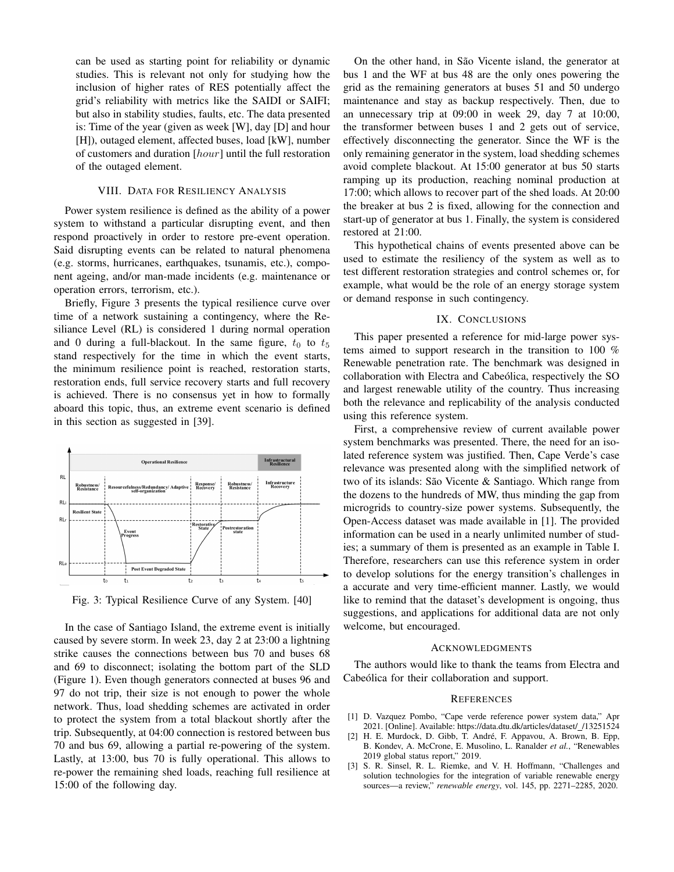can be used as starting point for reliability or dynamic studies. This is relevant not only for studying how the inclusion of higher rates of RES potentially affect the grid's reliability with metrics like the SAIDI or SAIFI; but also in stability studies, faults, etc. The data presented is: Time of the year (given as week [W], day [D] and hour [H]), outaged element, affected buses, load [kW], number of customers and duration [hour] until the full restoration of the outaged element.

#### VIII. DATA FOR RESILIENCY ANALYSIS

<span id="page-6-3"></span>Power system resilience is defined as the ability of a power system to withstand a particular disrupting event, and then respond proactively in order to restore pre-event operation. Said disrupting events can be related to natural phenomena (e.g. storms, hurricanes, earthquakes, tsunamis, etc.), component ageing, and/or man-made incidents (e.g. maintenance or operation errors, terrorism, etc.).

Briefly, Figure [3](#page-6-5) presents the typical resilience curve over time of a network sustaining a contingency, where the Resiliance Level (RL) is considered 1 during normal operation and 0 during a full-blackout. In the same figure,  $t_0$  to  $t_5$ stand respectively for the time in which the event starts, the minimum resilience point is reached, restoration starts, restoration ends, full service recovery starts and full recovery is achieved. There is no consensus yet in how to formally aboard this topic, thus, an extreme event scenario is defined in this section as suggested in [\[39\]](#page-7-33).

<span id="page-6-5"></span>

Fig. 3: Typical Resilience Curve of any System. [\[40\]](#page-7-34)

In the case of Santiago Island, the extreme event is initially caused by severe storm. In week 23, day 2 at 23:00 a lightning strike causes the connections between bus 70 and buses 68 and 69 to disconnect; isolating the bottom part of the SLD (Figure [1\)](#page-3-2). Even though generators connected at buses 96 and 97 do not trip, their size is not enough to power the whole network. Thus, load shedding schemes are activated in order to protect the system from a total blackout shortly after the trip. Subsequently, at 04:00 connection is restored between bus 70 and bus 69, allowing a partial re-powering of the system. Lastly, at 13:00, bus 70 is fully operational. This allows to re-power the remaining shed loads, reaching full resilience at 15:00 of the following day.

On the other hand, in São Vicente island, the generator at bus 1 and the WF at bus 48 are the only ones powering the grid as the remaining generators at buses 51 and 50 undergo maintenance and stay as backup respectively. Then, due to an unnecessary trip at 09:00 in week 29, day 7 at 10:00, the transformer between buses 1 and 2 gets out of service, effectively disconnecting the generator. Since the WF is the only remaining generator in the system, load shedding schemes avoid complete blackout. At 15:00 generator at bus 50 starts ramping up its production, reaching nominal production at 17:00; which allows to recover part of the shed loads. At 20:00 the breaker at bus 2 is fixed, allowing for the connection and start-up of generator at bus 1. Finally, the system is considered restored at 21:00.

This hypothetical chains of events presented above can be used to estimate the resiliency of the system as well as to test different restoration strategies and control schemes or, for example, what would be the role of an energy storage system or demand response in such contingency.

# IX. CONCLUSIONS

<span id="page-6-4"></span>This paper presented a reference for mid-large power systems aimed to support research in the transition to 100 % Renewable penetration rate. The benchmark was designed in collaboration with Electra and Cabeólica, respectively the SO and largest renewable utility of the country. Thus increasing both the relevance and replicability of the analysis conducted using this reference system.

First, a comprehensive review of current available power system benchmarks was presented. There, the need for an isolated reference system was justified. Then, Cape Verde's case relevance was presented along with the simplified network of two of its islands: São Vicente  $\&$  Santiago. Which range from the dozens to the hundreds of MW, thus minding the gap from microgrids to country-size power systems. Subsequently, the Open-Access dataset was made available in [\[1\]](#page-6-0). The provided information can be used in a nearly unlimited number of studies; a summary of them is presented as an example in Table [I.](#page-7-35) Therefore, researchers can use this reference system in order to develop solutions for the energy transition's challenges in a accurate and very time-efficient manner. Lastly, we would like to remind that the dataset's development is ongoing, thus suggestions, and applications for additional data are not only welcome, but encouraged.

### ACKNOWLEDGMENTS

The authors would like to thank the teams from Electra and Cabeólica for their collaboration and support.

#### **REFERENCES**

- <span id="page-6-0"></span>[1] D. Vazquez Pombo, "Cape verde reference power system data," Apr 2021. [Online]. Available: [https://data.dtu.dk/articles/dataset/](https://data.dtu.dk/articles/dataset/_/13251524) /13251524
- <span id="page-6-1"></span>[2] H. E. Murdock, D. Gibb, T. André, F. Appavou, A. Brown, B. Epp, B. Kondev, A. McCrone, E. Musolino, L. Ranalder *et al.*, "Renewables 2019 global status report," 2019.
- <span id="page-6-2"></span>[3] S. R. Sinsel, R. L. Riemke, and V. H. Hoffmann, "Challenges and solution technologies for the integration of variable renewable energy sources—a review," *renewable energy*, vol. 145, pp. 2271–2285, 2020.